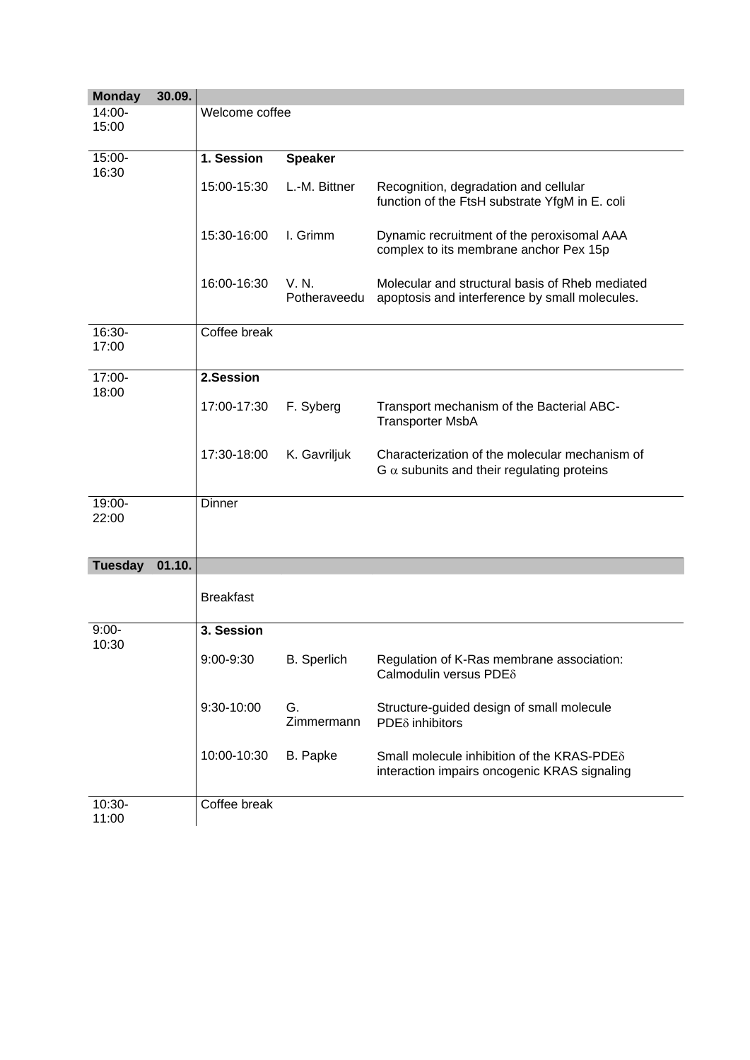| <b>Monday</b>   | 30.09. |                  |                       |                                                                                                     |
|-----------------|--------|------------------|-----------------------|-----------------------------------------------------------------------------------------------------|
| 14:00-<br>15:00 |        | Welcome coffee   |                       |                                                                                                     |
| 15:00-          |        | 1. Session       | <b>Speaker</b>        |                                                                                                     |
| 16:30           |        | 15:00-15:30      | L.-M. Bittner         | Recognition, degradation and cellular<br>function of the FtsH substrate YfgM in E. coli             |
|                 |        | 15:30-16:00      | I. Grimm              | Dynamic recruitment of the peroxisomal AAA<br>complex to its membrane anchor Pex 15p                |
|                 |        | 16:00-16:30      | V. N.<br>Potheraveedu | Molecular and structural basis of Rheb mediated<br>apoptosis and interference by small molecules.   |
| 16:30-<br>17:00 |        | Coffee break     |                       |                                                                                                     |
| 17:00-          |        | 2.Session        |                       |                                                                                                     |
| 18:00           |        | 17:00-17:30      | F. Syberg             | Transport mechanism of the Bacterial ABC-<br><b>Transporter MsbA</b>                                |
|                 |        | 17:30-18:00      | K. Gavriljuk          | Characterization of the molecular mechanism of<br>$G \alpha$ subunits and their regulating proteins |
| 19:00-<br>22:00 |        | <b>Dinner</b>    |                       |                                                                                                     |
| <b>Tuesday</b>  | 01.10. |                  |                       |                                                                                                     |
|                 |        | <b>Breakfast</b> |                       |                                                                                                     |
| $9:00-$         |        | 3. Session       |                       |                                                                                                     |
| 10:30           |        | 9:00-9:30        | <b>B.</b> Sperlich    | Regulation of K-Ras membrane association:<br>Calmodulin versus PDE <sub>8</sub>                     |
|                 |        | 9:30-10:00       | G.<br>Zimmermann      | Structure-guided design of small molecule<br>PDE <sub>δ</sub> inhibitors                            |
|                 |        | 10:00-10:30      | B. Papke              | Small molecule inhibition of the KRAS-PDE $\delta$<br>interaction impairs oncogenic KRAS signaling  |
| 10:30-          |        | Coffee break     |                       |                                                                                                     |
| 11:00           |        |                  |                       |                                                                                                     |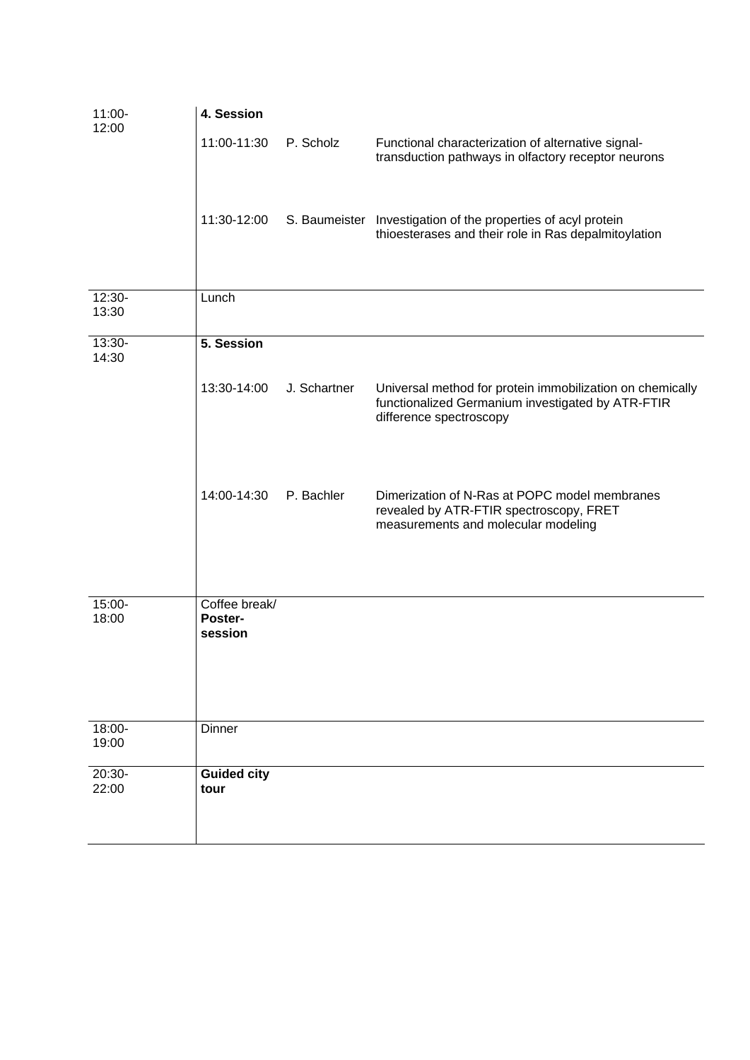| 11:00-<br>12:00    | 4. Session                          |              |                                                                                                                                           |
|--------------------|-------------------------------------|--------------|-------------------------------------------------------------------------------------------------------------------------------------------|
|                    | 11:00-11:30                         | P. Scholz    | Functional characterization of alternative signal-<br>transduction pathways in olfactory receptor neurons                                 |
|                    | 11:30-12:00                         |              | S. Baumeister Investigation of the properties of acyl protein<br>thioesterases and their role in Ras depalmitoylation                     |
| 12:30-<br>13:30    | Lunch                               |              |                                                                                                                                           |
| 13:30-<br>14:30    | 5. Session                          |              |                                                                                                                                           |
|                    | 13:30-14:00                         | J. Schartner | Universal method for protein immobilization on chemically<br>functionalized Germanium investigated by ATR-FTIR<br>difference spectroscopy |
|                    | 14:00-14:30                         | P. Bachler   | Dimerization of N-Ras at POPC model membranes<br>revealed by ATR-FTIR spectroscopy, FRET<br>measurements and molecular modeling           |
| 15:00-<br>18:00    | Coffee break/<br>Poster-<br>session |              |                                                                                                                                           |
| $18:00 -$<br>19:00 | Dinner                              |              |                                                                                                                                           |
| $20:30-$<br>22:00  | <b>Guided city</b><br>tour          |              |                                                                                                                                           |